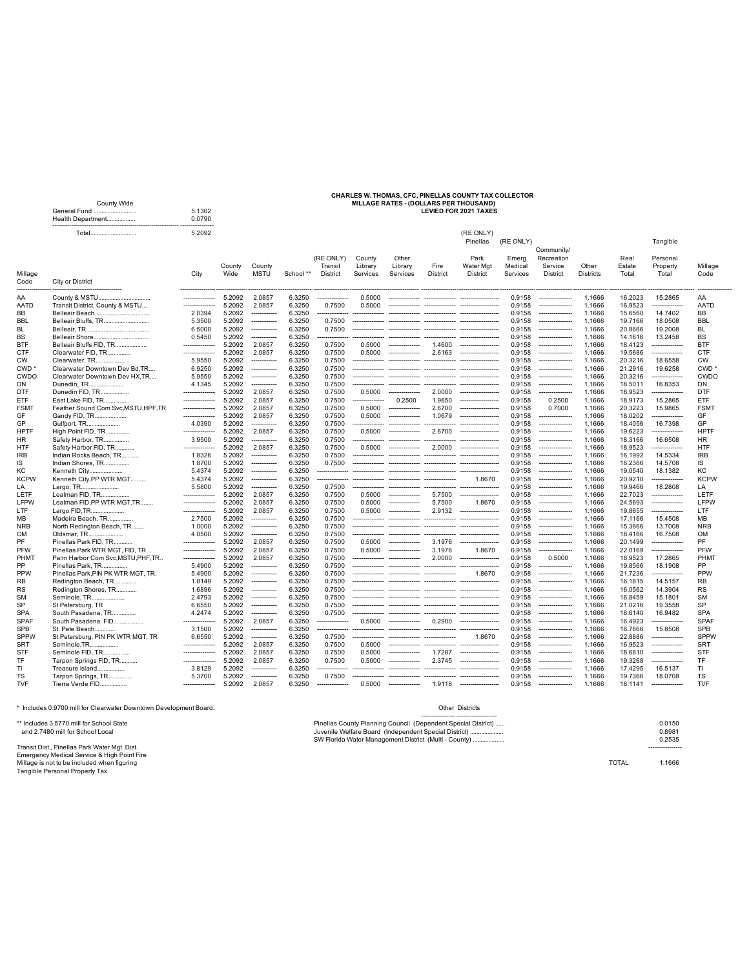## **CHARLES W. THOMAS, CFC, PINELLAS COUNTY TAX COLLECTOR** County Wide **MILLAGE RATES - (DOLLARS PER THOUSAND)** General Fund ........................... 5.1302 **LEVIED FOR 2021 TAXES**

|                | <b>OBIIBIAI FUILU</b><br>Health Department | <b>J.IJUZ</b><br>0.0790 |                  |                                   |           |                                  |                               |                                  |                  |                                    |                              |                                   |                           |                         |                               |                  |
|----------------|--------------------------------------------|-------------------------|------------------|-----------------------------------|-----------|----------------------------------|-------------------------------|----------------------------------|------------------|------------------------------------|------------------------------|-----------------------------------|---------------------------|-------------------------|-------------------------------|------------------|
|                | Total                                      | 5.2092                  |                  |                                   |           |                                  |                               |                                  |                  | (RE ONLY)<br>Pinellas              | (RE ONLY)                    |                                   |                           |                         | Tangible                      |                  |
|                |                                            |                         |                  |                                   |           |                                  |                               |                                  |                  |                                    |                              | Community/                        |                           |                         |                               |                  |
| Millage        |                                            | City                    | County<br>Wide   | County<br><b>MSTU</b>             | School ** | (RE ONLY)<br>Transit<br>District | County<br>Library<br>Services | Other<br>Library<br>Services     | Fire<br>District | Park<br>Water Mgt<br>District      | Emerg<br>Medical<br>Services | Recreation<br>Service<br>District | Other<br><b>Districts</b> | Real<br>Estate<br>Total | Personal<br>Property<br>Total | Millage<br>Code  |
| Code           | City or District                           |                         |                  |                                   |           |                                  |                               |                                  |                  |                                    |                              |                                   |                           |                         |                               |                  |
| AA             | County & MSTU                              |                         | 5.2092           | 2.0857                            | 6.3250    |                                  | 0.5000                        |                                  |                  |                                    | 0.9158                       | ----------------                  | 1.1666                    | 16.2023                 | 15.2865                       | AA               |
| AATD           | Transit District, County & MSTU            |                         | 5.2092           | 2.0857                            | 6.3250    | 0.7500                           | 0.5000                        |                                  |                  |                                    | 0.9158                       |                                   | 1.1666                    | 16.9523                 |                               | <b>AATD</b>      |
| ВB             |                                            | 2.0394                  | 5.2092           | ------------                      | 6.3250    |                                  |                               |                                  |                  |                                    | 0.9158                       | ----------------                  | 1.1666                    | 15.6560                 | 14.7402                       | BB               |
| BBL            | Belleair Bluffs, TR                        | 5.3500                  | 5.2092           | -------------                     | 6.3250    | 0.7500                           |                               |                                  |                  |                                    | 0.9158                       | ----------------                  | 1.1666                    | 19.7166                 | 18.0508                       | <b>BBL</b>       |
| BL             |                                            | 6.5000                  | 5.2092           | -------------                     | 6.3250    | 0.7500                           |                               | -------------- --------------    |                  | -------------- -----------------   | 0.9158                       | ---------------                   | 1.1666                    | 20.8666                 | 19.2008                       | <b>BL</b>        |
| ВS             | Belleair Shore                             | 0.5450                  | 5.2092           | -------------                     | 6.3250    |                                  | ---------------               |                                  |                  |                                    | 0.9158                       | ----------------                  | 1.1666                    | 14.1616                 | 13.2458                       | <b>BS</b>        |
| BTF            | Belleair Bluffs FID. TR                    |                         | 5.2092           | 2.0857                            | 6.3250    | 0.7500                           | 0.5000                        |                                  | 1.4600           | $\overline{\phantom{a}}$           | 0.9158                       |                                   | 1.1666                    | 18.4123                 |                               | <b>BTF</b>       |
| CTF            | Clearwater FID, TR                         | ---------------         | 5.2092           | 2.0857                            | 6.3250    | 0.7500                           | 0.5000                        | ---------------                  | 2.6163           | ------------------                 | 0.9158                       | ----------------                  | 1.1666                    | 19.5686                 |                               | CTF              |
| сw             | Clearwater, TR                             | 5.9550                  | 5.2092           | -------------                     | 6.3250    | 0.7500                           |                               | -------------------              | ---------------- | --------------------               | 0.9158                       | ----------------                  | 1.1666                    | 20.3216                 | 18.6558                       | <b>CW</b>        |
| CWD '          | Clearwater Downtown Dev Bd, TR             | 6.9250                  | 5.2092           | ------------                      | 6.3250    | 0.7500                           |                               |                                  |                  |                                    | 0.9158                       | ----------------                  | 1.1666                    | 21.2916                 | 19.6258                       | CWD <sup>+</sup> |
| CWDO           | Clearwater Downtown Dev HX, TR             | 5.9550                  | 5.2092           | -------------                     | 6.3250    | 0.7500                           | ---------------               |                                  |                  |                                    | 0.9158                       | ----------------                  | 1.1666                    | 20.3216                 | -----------                   | CWDO             |
| DN.            | Dunedin, TR<br>.                           | 4.1345                  | 5.2092           |                                   | 6.3250    | 0.7500                           |                               |                                  |                  | ------- -------------------        | 0.9158                       |                                   | 1.1666                    | 18,5011                 | 16.8353                       | DN               |
| DTF            | Dunedin FID, TR                            | ---------------         | 5.2092           | 2.0857                            | 6.3250    | 0.7500                           | 0.5000                        | ------                           | 2.0000           | --------------------               | 0.9158                       | ----------------                  | 1.1666                    | 18.9523                 |                               | <b>DTF</b>       |
| ETF            | East Lake FID, TR                          | ---------------         | 5.2092           | 2.0857                            | 6.3250    | 0.7500                           | --------------                | 0.2500                           | 1.9650           | ------------------                 | 0.9158                       | 0.2500                            | 1.1666                    | 18.9173                 | 15.2865                       | ETF              |
| FSMT           | Feather Sound Com Svc, MSTU, HPF, TR       | ---------------         | 5.2092           | 2.0857                            | 6.3250    | 0.7500                           | 0.5000                        | ---------------                  | 2.6700           | -------------------                | 0.9158                       | 0.7000                            | 1.1666                    | 20.3223                 | 15.9865                       | <b>FSMT</b>      |
| GF             | Gandy FID, TR                              | ---------------         | 5.2092           | 2.0857                            | 6.3250    | 0.7500                           | 0.5000                        | ----------------                 | 1.0679           | -------------------                | 0.9158                       | ----------------                  | 1.1666                    | 18.0202                 |                               | GF               |
| GP             |                                            |                         |                  |                                   |           | 0.7500                           |                               |                                  |                  |                                    | 0.9158                       |                                   | 1.1666                    |                         |                               | GP               |
|                | Gulfport, TR                               | 4.0390                  | 5.2092<br>5.2092 |                                   | 6.3250    | 0.7500                           |                               | ---------------                  |                  |                                    |                              | ----------------                  | 1.1666                    | 18.4056                 | 16.7398                       | <b>HPTF</b>      |
| HPTF           | High Point FID, TR                         |                         |                  | 2.0857                            | 6.3250    |                                  | 0.5000                        |                                  |                  | 2.6700 --------------------        | 0.9158                       |                                   |                           | 19.6223                 |                               |                  |
| HR             | Safety Harbor, TR                          | 3.9500                  | 5.2092           | ------------                      | 6.3250    | 0.7500                           | --------------                |                                  | ---------------  | ------------------                 | 0.9158                       | _____________                     | 1.1666                    | 18.3166                 | 16.6508                       | <b>HR</b>        |
| HTF            | Safety Harbor FID, TR                      | ------------            | 5.2092           | 2.0857                            | 6.3250    | 0.7500                           |                               | 0.5000 ---------------           |                  | 2.0000 --------------------        | 0.9158                       | ----------------                  | 1.1666                    | 18.9523                 | -----------                   | <b>HTF</b>       |
| IRB            | Indian Rocks Beach, TR                     | 1.8326                  | 5.2092           |                                   | 6.3250    | 0.7500                           |                               |                                  |                  |                                    | 0.9158                       |                                   | 1.1666                    | 16.1992                 | 14.5334                       | <b>IRB</b>       |
| IS             | Indian Shores, TR                          | 1.8700                  | 5.2092           | ------------                      | 6.3250    | 0.7500                           |                               |                                  |                  |                                    | 0.9158                       |                                   | 1.1666                    | 16.2366                 | 14.5708                       | IS               |
| КC             | Kenneth City                               | 5.4374                  | 5.2092           | -------------                     | 6.3250    |                                  |                               |                                  |                  |                                    | 0.9158                       |                                   | 1.1666                    | 19.0540                 | 18.1382                       | KC               |
| <b>KCPW</b>    | Kenneth City, PP WTR MGT                   | 5.4374                  | 5.2092           | ------------                      | 6.3250    |                                  |                               | --------------- --------------   |                  | 1.8670                             | 0.9158                       | ----------------                  | 1.1666                    | 20.9210                 |                               | <b>KCPW</b>      |
| LA             | Largo, TR<br>                              | 5.5800                  | 5.2092           | -------------                     | 6.3250    | 0.7500                           |                               | ---------------- --------------- |                  | --------------- -----------------  | 0.9158                       | ----------------                  | 1.1666                    | 19.9466                 | 18.2808                       | LA               |
| LETF           | Lealman FID, TR                            |                         | 5.2092           | 2.0857                            | 6.3250    | 0.7500                           | 0.5000                        |                                  | 5.7500           |                                    | 0.9158                       | ----------------                  | 1.1666                    | 22.7023                 | ------------                  | LETF             |
| LFPW           | Lealman FID, PP WTR MGT, TR                | ---------------         | 5.2092           | 2.0857                            | 6.3250    | 0.7500                           | 0.5000                        | ---------------                  | 5.7500           | 1.8670                             | 0.9158                       | ----------------                  | 1.1666                    | 24.5693                 | ---------------               | LFPW             |
| LTF.           | Largo FID, TR                              |                         | 5.2092           | 2.0857                            | 6.3250    | 0.7500                           | 0.5000                        |                                  | 2.9132           | -------------------                | 0.9158                       |                                   | 1.1666                    | 19.8655                 |                               | LTF              |
| ΜВ             | Madeira Beach, TR                          | 2.7500                  | 5.2092           | ------------                      | 6.3250    | 0.7500                           |                               |                                  | ---------------  |                                    | 0.9158                       |                                   | 1.1666                    | 17.1166                 | 15.4508                       | MB               |
| NRB            | North Redington Beach, TR                  | 1.0000                  | 5.2092           |                                   | 6.3250    | 0.7500                           |                               | -------------- --------------    |                  | --------------- ------------------ | 0.9158                       | ----------------                  | 1.1666                    | 15.3666                 | 13,7008                       | <b>NRB</b>       |
| OМ             | Oldsmar, TR                                | 4.0500                  | 5.2092           |                                   | 6.3250    | 0.7500                           |                               |                                  |                  |                                    | 0.9158                       |                                   | 1.1666                    | 18.4166                 | 16.7508                       | <b>OM</b>        |
| PF             | Pinellas Park FID, TR                      | --------------          | 5.2092           | 2.0857                            | 6.3250    | 0.7500                           | 0.5000                        | ---------------                  | 3.1976           | -------------------                | 0.9158                       | ---------------                   | 1.1666                    | 20.1499                 |                               | PF               |
| PFW            | Pinellas Park WTR MGT, FID, TR             |                         | 5.2092           | 2.0857                            | 6.3250    | 0.7500                           | 0.5000                        |                                  | 3.1976           | 1.8670                             | 0.9158                       |                                   | 1.1666                    | 22.0169                 |                               | PFW              |
| PHMT           | Palm Harbor Com Svc, MSTU, PHF, TR.        |                         | 5.2092           | 2.0857                            | 6.3250    | 0.7500                           |                               | --------------- ---------------  | 2.0000           | ------------------                 | 0.9158                       | 0.5000                            | 1.1666                    | 18.9523                 | 17.2865                       | PHMT             |
| PP             | Pinellas Park, TR.,                        | 5.4900                  | 5.2092           | ------------                      | 6.3250    | 0.7500                           |                               |                                  |                  |                                    | 0.9158                       | ----------------                  | 1.1666                    | 19.8566                 | 18.1908                       | <b>PP</b>        |
| <b>PPW</b>     | Pinellas Park, PIN PK WTR MGT, TR.         | 5.4900                  | 5.2092           | ------------                      | 6.3250    | 0.7500                           |                               |                                  |                  | 1.8670                             | 0.9158                       | ----------------                  | 1.1666                    | 21.7236                 |                               | PPW              |
| RB             | Redington Beach, TR                        | 1.8149                  | 5.2092           | -------------                     | 6.3250    | 0.7500                           |                               |                                  |                  |                                    | 0.9158                       | ----------------                  | 1.1666                    | 16.1815                 | 14.5157                       | <b>RB</b>        |
| RS             |                                            | 1.6896                  | 5.2092           | -------------                     | 6.3250    | 0.7500                           |                               |                                  |                  |                                    | 0.9158                       |                                   | 1.1666                    | 16.0562                 | 14.3904                       | <b>RS</b>        |
|                | Redington Shores, TR                       | 2.4793                  | 5.2092           |                                   | 6.3250    | 0.7500                           |                               |                                  |                  |                                    | 0.9158                       | ----------------                  | 1.1666                    | 16.8459                 | 15.1801                       | <b>SM</b>        |
| SM             | Seminole, TR<br>                           |                         |                  | ------------<br>------------      |           |                                  |                               |                                  |                  |                                    |                              |                                   |                           |                         |                               | <b>SP</b>        |
| SP             | St Petersburg, TR                          | 6.6550                  | 5.2092           |                                   | 6.3250    | 0.7500                           |                               |                                  |                  |                                    | 0.9158                       |                                   | 1.1666                    | 21.0216                 | 19.3558                       |                  |
| SPA            | South Pasadena, TR                         | 4.2474                  | 5.2092           | -----<br>$\overline{\phantom{a}}$ | 6.3250    | 0.7500                           | -----                         |                                  |                  |                                    | 0.9158                       |                                   | 1.1666                    | 18.6140                 | 16.9482                       | <b>SPA</b>       |
| SPAF           | South Pasadena FID                         |                         | 5.2092           | 2.0857                            | 6.3250    |                                  | 0.5000                        | ---------------                  | 0.2900           |                                    | 0.9158                       |                                   | 1.1666                    | 16.4923                 |                               | <b>SPAF</b>      |
| <b>SPB</b>     | St. Pete Beach                             | 3.1500                  | 5.2092           |                                   | 6.3250    |                                  | -------------                 |                                  |                  |                                    | 0.9158                       | ----------------                  | 1.1666                    | 16.7666                 | 15.8508                       | SPB              |
| <b>SPPW</b>    | St Petersburg, PIN PK WTR MGT, TR          | 6.6550                  | 5.2092           | -----                             | 6.3250    | 0.7500                           |                               |                                  | ---------------- | 1.8670                             | 0.9158                       | ----------------                  | 1.1666                    | 22.8886                 | ---------------               | SPPW             |
| SRT            | Seminole, TR                               |                         | 5.2092           | 2.0857                            | 6.3250    | 0.7500                           | 0.5000                        |                                  |                  |                                    | 0.9158                       |                                   | 1.1666                    | 16.9523                 |                               | <b>SRT</b>       |
| STF            | Seminole FID, TR                           |                         | 5.2092           | 2.0857                            | 6.3250    | 0.7500                           | 0.5000                        | ----------------                 | 1.7287           | ------------------                 | 0.9158                       | ----------------                  | 1.1666                    | 18.6810                 |                               | STF              |
|                | Tarpon Springs FID, TR                     |                         | 5.2092           | 2.0857                            | 6.3250    | 0.7500                           | 0.5000                        | ----------------                 | 2.3745           | ------------------                 | 0.9158                       | ----------------                  | 1.1666                    | 19.3268                 |                               | TF               |
|                |                                            |                         |                  |                                   |           |                                  |                               |                                  |                  |                                    |                              |                                   |                           |                         |                               |                  |
|                | Treasure Island                            | 3.8129                  | 5.2092           | ------------                      | 6.3250    |                                  |                               | ---------------                  | ---------------  |                                    | 0.9158                       |                                   | 1.1666                    | 17.4295                 | 16.5137                       | TI.              |
| TF<br>TI<br>тs | Tarpon Springs, TR                         | 5.3700                  | 5.2092           | ------------                      | 6.3250    | 0.7500                           | ---------------               | ---------------                  |                  | --------------------               | 0.9158                       | ----------------                  | 1.1666                    | 19.7366                 | 18,0708                       | <b>TS</b>        |

\* Includes 0.9700 mill for Clearwater Downtown Development Board. Other Districts

Transit Dist., Pinellas Park Water Mgt. Dist. ---------------- Emergency Medical Service & High Point Fire Millage is not to be included when figuring TOTAL 1.1666 Tangible Personal Property Tax

|                                          | ---------------- ------------------                           |        |
|------------------------------------------|---------------------------------------------------------------|--------|
| ** Includes 3.5770 mill for School State | Pinellas County Planning Council (Dependent Special District) | 0.0150 |
| and 2.7480 mill for School Local         | Juvenile Welfare Board (Independent Special District)         | 0.8981 |
|                                          | SW Florida Water Management District (Multi - County)         | 0.2535 |